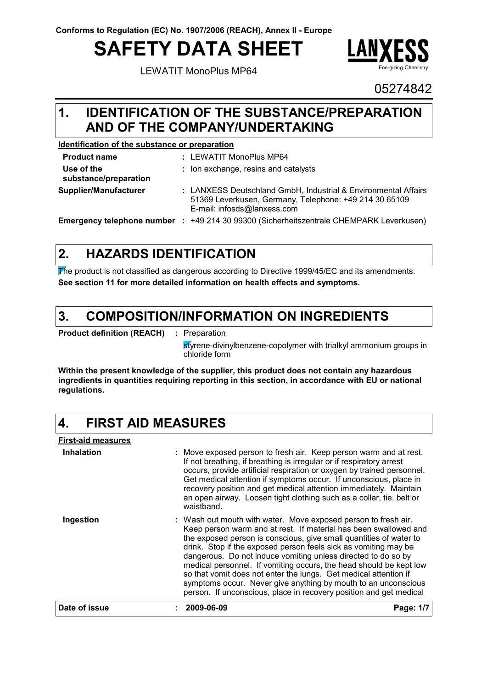# **SAFETY DATA SHEET**

LEWATIT MonoPlus MP64



05274842

#### **IDENTIFICATION OF THE SUBSTANCE/PREPARATION AND OF THE COMPANY/UNDERTAKING 1.**

### **Identification of the substance or preparation**

| <b>Product name</b>                 | : LEWATIT MonoPlus MP64                                                                                                                                 |
|-------------------------------------|---------------------------------------------------------------------------------------------------------------------------------------------------------|
| Use of the<br>substance/preparation | : Ion exchange, resins and catalysts                                                                                                                    |
| Supplier/Manufacturer               | : LANXESS Deutschland GmbH, Industrial & Environmental Affairs<br>51369 Leverkusen, Germany, Telephone: +49 214 30 65109<br>E-mail: infosds@lanxess.com |
| Emergency telephone number :        | +49 214 30 99300 (Sicherheitszentrale CHEMPARK Leverkusen)                                                                                              |

#### **HAZARDS IDENTIFICATION 2.**

The product is not classified as dangerous according to Directive 1999/45/EC and its amendments. **See section 11 for more detailed information on health effects and symptoms.**

#### **COMPOSITION/INFORMATION ON INGREDIENTS 3.**

**Product definition (REACH) :** Preparation

styrene-divinylbenzene-copolymer with trialkyl ammonium groups in chloride form

**Within the present knowledge of the supplier, this product does not contain any hazardous ingredients in quantities requiring reporting in this section, in accordance with EU or national regulations.**

#### **4. FIRST AID MEASURES**

| Inhalation<br>: Move exposed person to fresh air. Keep person warm and at rest.<br>If not breathing, if breathing is irregular or if respiratory arrest<br>occurs, provide artificial respiration or oxygen by trained personnel.<br>Get medical attention if symptoms occur. If unconscious, place in<br>recovery position and get medical attention immediately. Maintain<br>an open airway. Loosen tight clothing such as a collar, tie, belt or<br>waistband.<br>: Wash out mouth with water. Move exposed person to fresh air.<br>Ingestion<br>Keep person warm and at rest. If material has been swallowed and<br>the exposed person is conscious, give small quantities of water to<br>drink. Stop if the exposed person feels sick as vomiting may be<br>dangerous. Do not induce vomiting unless directed to do so by<br>medical personnel. If vomiting occurs, the head should be kept low<br>so that vomit does not enter the lungs. Get medical attention if<br>symptoms occur. Never give anything by mouth to an unconscious<br>person. If unconscious, place in recovery position and get medical | Date of issue | 2009-06-09 | Page: 1/7 |  |  |  |  |
|------------------------------------------------------------------------------------------------------------------------------------------------------------------------------------------------------------------------------------------------------------------------------------------------------------------------------------------------------------------------------------------------------------------------------------------------------------------------------------------------------------------------------------------------------------------------------------------------------------------------------------------------------------------------------------------------------------------------------------------------------------------------------------------------------------------------------------------------------------------------------------------------------------------------------------------------------------------------------------------------------------------------------------------------------------------------------------------------------------------|---------------|------------|-----------|--|--|--|--|
|                                                                                                                                                                                                                                                                                                                                                                                                                                                                                                                                                                                                                                                                                                                                                                                                                                                                                                                                                                                                                                                                                                                  |               |            |           |  |  |  |  |
|                                                                                                                                                                                                                                                                                                                                                                                                                                                                                                                                                                                                                                                                                                                                                                                                                                                                                                                                                                                                                                                                                                                  |               |            |           |  |  |  |  |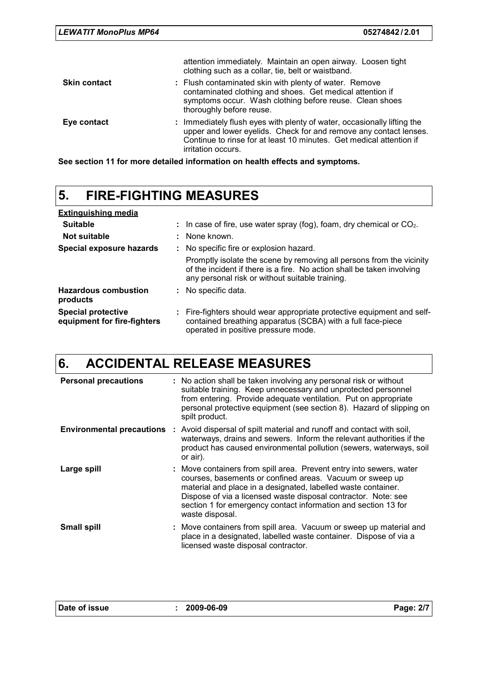|                     | attention immediately. Maintain an open airway. Loosen tight<br>clothing such as a collar, tie, belt or waistband.                                                                                                                        |
|---------------------|-------------------------------------------------------------------------------------------------------------------------------------------------------------------------------------------------------------------------------------------|
| <b>Skin contact</b> | : Flush contaminated skin with plenty of water. Remove<br>contaminated clothing and shoes. Get medical attention if<br>symptoms occur. Wash clothing before reuse. Clean shoes<br>thoroughly before reuse.                                |
| Eye contact         | : Immediately flush eyes with plenty of water, occasionally lifting the<br>upper and lower eyelids. Check for and remove any contact lenses.<br>Continue to rinse for at least 10 minutes. Get medical attention if<br>irritation occurs. |

**See section 11 for more detailed information on health effects and symptoms.**

### **5. FIRE-FIGHTING MEASURES**

| <b>Extinguishing media</b>                               |                                                                                                                                                                                                   |
|----------------------------------------------------------|---------------------------------------------------------------------------------------------------------------------------------------------------------------------------------------------------|
| <b>Suitable</b>                                          | : In case of fire, use water spray (fog), foam, dry chemical or $CO2$ .                                                                                                                           |
| Not suitable                                             | : None known.                                                                                                                                                                                     |
| Special exposure hazards                                 | : No specific fire or explosion hazard.                                                                                                                                                           |
|                                                          | Promptly isolate the scene by removing all persons from the vicinity<br>of the incident if there is a fire. No action shall be taken involving<br>any personal risk or without suitable training. |
| <b>Hazardous combustion</b><br>products                  | : No specific data.                                                                                                                                                                               |
| <b>Special protective</b><br>equipment for fire-fighters | : Fire-fighters should wear appropriate protective equipment and self-<br>contained breathing apparatus (SCBA) with a full face-piece<br>operated in positive pressure mode.                      |

# **6. ACCIDENTAL RELEASE MEASURES**

| <b>Personal precautions</b>        | : No action shall be taken involving any personal risk or without<br>suitable training. Keep unnecessary and unprotected personnel<br>from entering. Provide adequate ventilation. Put on appropriate<br>personal protective equipment (see section 8). Hazard of slipping on<br>spilt product.                                                         |
|------------------------------------|---------------------------------------------------------------------------------------------------------------------------------------------------------------------------------------------------------------------------------------------------------------------------------------------------------------------------------------------------------|
| <b>Environmental precautions :</b> | Avoid dispersal of spilt material and runoff and contact with soil,<br>waterways, drains and sewers. Inform the relevant authorities if the<br>product has caused environmental pollution (sewers, waterways, soil<br>or air).                                                                                                                          |
| Large spill                        | : Move containers from spill area. Prevent entry into sewers, water<br>courses, basements or confined areas. Vacuum or sweep up<br>material and place in a designated, labelled waste container.<br>Dispose of via a licensed waste disposal contractor. Note: see<br>section 1 for emergency contact information and section 13 for<br>waste disposal. |
| <b>Small spill</b>                 | : Move containers from spill area. Vacuum or sweep up material and<br>place in a designated, labelled waste container. Dispose of via a<br>licensed waste disposal contractor.                                                                                                                                                                          |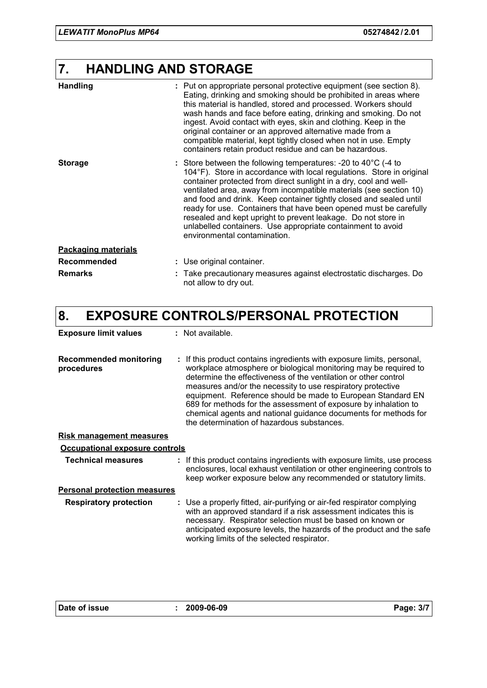# **7. HANDLING AND STORAGE**

| <b>Handling</b>            | : Put on appropriate personal protective equipment (see section 8).<br>Eating, drinking and smoking should be prohibited in areas where<br>this material is handled, stored and processed. Workers should<br>wash hands and face before eating, drinking and smoking. Do not<br>ingest. Avoid contact with eyes, skin and clothing. Keep in the<br>original container or an approved alternative made from a<br>compatible material, kept tightly closed when not in use. Empty<br>containers retain product residue and can be hazardous.                                                              |
|----------------------------|---------------------------------------------------------------------------------------------------------------------------------------------------------------------------------------------------------------------------------------------------------------------------------------------------------------------------------------------------------------------------------------------------------------------------------------------------------------------------------------------------------------------------------------------------------------------------------------------------------|
| <b>Storage</b>             | : Store between the following temperatures: -20 to $40^{\circ}$ C (-4 to<br>104°F). Store in accordance with local regulations. Store in original<br>container protected from direct sunlight in a dry, cool and well-<br>ventilated area, away from incompatible materials (see section 10)<br>and food and drink. Keep container tightly closed and sealed until<br>ready for use. Containers that have been opened must be carefully<br>resealed and kept upright to prevent leakage. Do not store in<br>unlabelled containers. Use appropriate containment to avoid<br>environmental contamination. |
| <b>Packaging materials</b> |                                                                                                                                                                                                                                                                                                                                                                                                                                                                                                                                                                                                         |
| <b>Recommended</b>         | : Use original container.                                                                                                                                                                                                                                                                                                                                                                                                                                                                                                                                                                               |
| <b>Remarks</b>             | : Take precautionary measures against electrostatic discharges. Do<br>not allow to dry out.                                                                                                                                                                                                                                                                                                                                                                                                                                                                                                             |

# **8. EXPOSURE CONTROLS/PERSONAL PROTECTION**

| <b>Exposure limit values</b>                | : Not available.                                                                                                                                                                                                                                                                                                                                                                                                                                                                                                                |
|---------------------------------------------|---------------------------------------------------------------------------------------------------------------------------------------------------------------------------------------------------------------------------------------------------------------------------------------------------------------------------------------------------------------------------------------------------------------------------------------------------------------------------------------------------------------------------------|
| <b>Recommended monitoring</b><br>procedures | : If this product contains ingredients with exposure limits, personal,<br>workplace atmosphere or biological monitoring may be required to<br>determine the effectiveness of the ventilation or other control<br>measures and/or the necessity to use respiratory protective<br>equipment. Reference should be made to European Standard EN<br>689 for methods for the assessment of exposure by inhalation to<br>chemical agents and national guidance documents for methods for<br>the determination of hazardous substances. |
| <b>Risk management measures</b>             |                                                                                                                                                                                                                                                                                                                                                                                                                                                                                                                                 |
| Occupational exposure controls              |                                                                                                                                                                                                                                                                                                                                                                                                                                                                                                                                 |
| <b>Technical measures</b>                   | : If this product contains ingredients with exposure limits, use process<br>enclosures, local exhaust ventilation or other engineering controls to<br>keep worker exposure below any recommended or statutory limits.                                                                                                                                                                                                                                                                                                           |
| <b>Personal protection measures</b>         |                                                                                                                                                                                                                                                                                                                                                                                                                                                                                                                                 |
| <b>Respiratory protection</b>               | : Use a properly fitted, air-purifying or air-fed respirator complying<br>with an approved standard if a risk assessment indicates this is<br>necessary. Respirator selection must be based on known or<br>anticipated exposure levels, the hazards of the product and the safe<br>working limits of the selected respirator.                                                                                                                                                                                                   |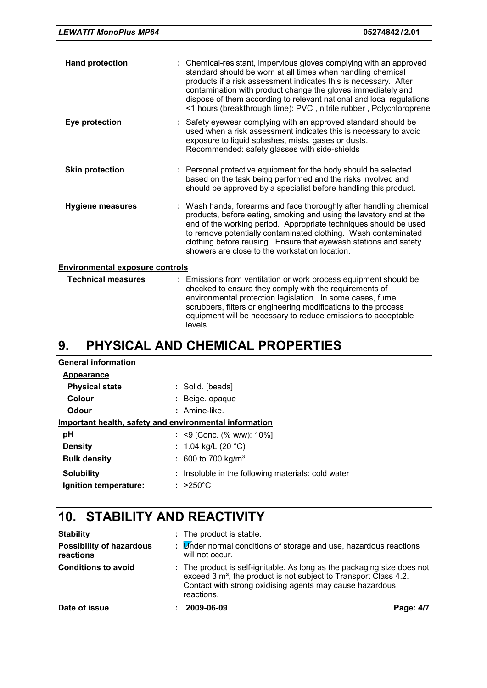| <b>Hand protection</b>                 | : Chemical-resistant, impervious gloves complying with an approved<br>standard should be worn at all times when handling chemical<br>products if a risk assessment indicates this is necessary. After<br>contamination with product change the gloves immediately and<br>dispose of them according to relevant national and local regulations<br><1 hours (breakthrough time): PVC, nitrile rubber, Polychloroprene |  |
|----------------------------------------|---------------------------------------------------------------------------------------------------------------------------------------------------------------------------------------------------------------------------------------------------------------------------------------------------------------------------------------------------------------------------------------------------------------------|--|
| Eye protection                         | : Safety eyewear complying with an approved standard should be<br>used when a risk assessment indicates this is necessary to avoid<br>exposure to liquid splashes, mists, gases or dusts.<br>Recommended: safety glasses with side-shields                                                                                                                                                                          |  |
| <b>Skin protection</b>                 | : Personal protective equipment for the body should be selected<br>based on the task being performed and the risks involved and<br>should be approved by a specialist before handling this product.                                                                                                                                                                                                                 |  |
| <b>Hygiene measures</b>                | : Wash hands, forearms and face thoroughly after handling chemical<br>products, before eating, smoking and using the lavatory and at the<br>end of the working period. Appropriate techniques should be used<br>to remove potentially contaminated clothing. Wash contaminated<br>clothing before reusing. Ensure that eyewash stations and safety<br>showers are close to the workstation location.                |  |
| <b>Environmental exposure controls</b> |                                                                                                                                                                                                                                                                                                                                                                                                                     |  |
| <b>Technical measures</b>              | : Emissions from ventilation or work process equipment should be<br>checked to ensure they comply with the requirements of<br>environmental protection legislation. In some cases, fume                                                                                                                                                                                                                             |  |

scrubbers, filters or engineering modifications to the process equipment will be necessary to reduce emissions to acceptable

### **PHYSICAL AND CHEMICAL PROPERTIES 9.**

levels.

| <b>General information</b>                             |                                                    |
|--------------------------------------------------------|----------------------------------------------------|
| Appearance                                             |                                                    |
| <b>Physical state</b>                                  | : Solid. [beads]                                   |
| Colour                                                 | : Beige opaque                                     |
| Odour                                                  | $:$ Amine-like.                                    |
| Important health, safety and environmental information |                                                    |
| рH                                                     | : <9 [Conc. (% w/w): $10\%$ ]                      |
| <b>Density</b>                                         | : 1.04 kg/L (20 $^{\circ}$ C)                      |
| <b>Bulk density</b>                                    | : 600 to 700 kg/m <sup>3</sup>                     |
| <b>Solubility</b>                                      | : Insoluble in the following materials: cold water |
| Ignition temperature:                                  | $: >250^{\circ}$ C                                 |

## **10. STABILITY AND REACTIVITY**

| <b>Stability</b><br><b>Possibility of hazardous</b><br>reactions | : The product is stable.<br>: <i>Under normal conditions of storage and use</i> , hazardous reactions<br>will not occur.                                                                                                          |           |  |  |
|------------------------------------------------------------------|-----------------------------------------------------------------------------------------------------------------------------------------------------------------------------------------------------------------------------------|-----------|--|--|
| <b>Conditions to avoid</b>                                       | : The product is self-ignitable. As long as the packaging size does not<br>exceed 3 m <sup>3</sup> , the product is not subject to Transport Class 4.2.<br>Contact with strong oxidising agents may cause hazardous<br>reactions. |           |  |  |
| Date of issue                                                    | 2009-06-09                                                                                                                                                                                                                        | Page: 4/7 |  |  |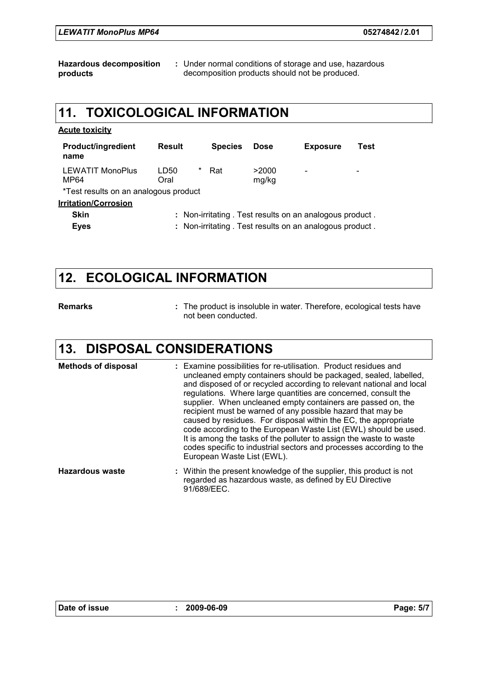**Hazardous decomposition products :** Under normal conditions of storage and use, hazardous decomposition products should not be produced.

### **11. TOXICOLOGICAL INFORMATION**

| <b>Acute toxicity</b>                 |                   |                |                |                                                          |      |
|---------------------------------------|-------------------|----------------|----------------|----------------------------------------------------------|------|
| <b>Product/ingredient</b><br>name     | <b>Result</b>     | <b>Species</b> | <b>Dose</b>    | <b>Exposure</b>                                          | Test |
| <b>LEWATIT MonoPlus</b><br>MP64       | *<br>LD50<br>Oral | Rat            | >2000<br>mg/kg |                                                          |      |
| *Test results on an analogous product |                   |                |                |                                                          |      |
| <b>Irritation/Corrosion</b>           |                   |                |                |                                                          |      |
| <b>Skin</b>                           |                   |                |                | : Non-irritating . Test results on an analogous product. |      |
| <b>Eyes</b>                           |                   |                |                | : Non-irritating . Test results on an analogous product. |      |

### **12. ECOLOGICAL INFORMATION**

#### **Remarks :**

The product is insoluble in water. Therefore, ecological tests have not been conducted.

### **13. DISPOSAL CONSIDERATIONS**

Within the present knowledge of the supplier, this product is not **Hazardous waste : Methods of disposal :** Examine possibilities for re-utilisation. Product residues and uncleaned empty containers should be packaged, sealed, labelled, and disposed of or recycled according to relevant national and local regulations. Where large quantities are concerned, consult the supplier. When uncleaned empty containers are passed on, the recipient must be warned of any possible hazard that may be caused by residues. For disposal within the EC, the appropriate code according to the European Waste List (EWL) should be used. It is among the tasks of the polluter to assign the waste to waste codes specific to industrial sectors and processes according to the European Waste List (EWL).

regarded as hazardous waste, as defined by EU Directive 91/689/EEC.